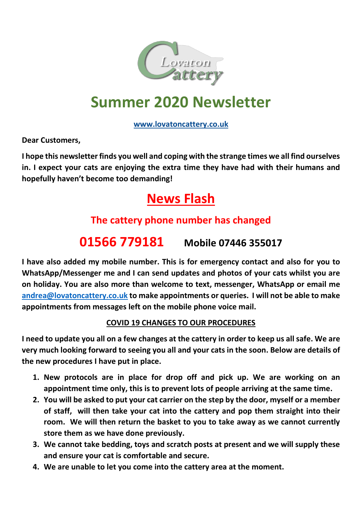

# **Summer 2020 Newsletter**

### **[www.lovatoncattery.co.uk](http://www.lovatoncattery.co.uk/)**

**Dear Customers,**

**I hope this newsletter finds you well and coping with the strange times we all find ourselves in. I expect your cats are enjoying the extra time they have had with their humans and hopefully haven't become too demanding!**

## **News Flash**

## **The cattery phone number has changed**

## **01566 779181 Mobile 07446 355017**

**I have also added my mobile number. This is for emergency contact and also for you to WhatsApp/Messenger me and I can send updates and photos of your cats whilst you are on holiday. You are also more than welcome to text, messenger, WhatsApp or email me [andrea@lovatoncattery.co.uk](mailto:andrea@lovatoncattery.co.uk) to make appointments or queries. I will not be able to make appointments from messages left on the mobile phone voice mail.**

### **COVID 19 CHANGES TO OUR PROCEDURES**

**I need to update you all on a few changes at the cattery in order to keep us all safe. We are very much looking forward to seeing you all and your cats in the soon. Below are details of the new procedures I have put in place.**

- **1. New protocols are in place for drop off and pick up. We are working on an appointment time only, this is to prevent lots of people arriving at the same time.**
- **2. You will be asked to put your cat carrier on the step by the door, myself or a member of staff, will then take your cat into the cattery and pop them straight into their room. We will then return the basket to you to take away as we cannot currently store them as we have done previously.**
- **3. We cannot take bedding, toys and scratch posts at present and we will supply these and ensure your cat is comfortable and secure.**
- **4. We are unable to let you come into the cattery area at the moment.**